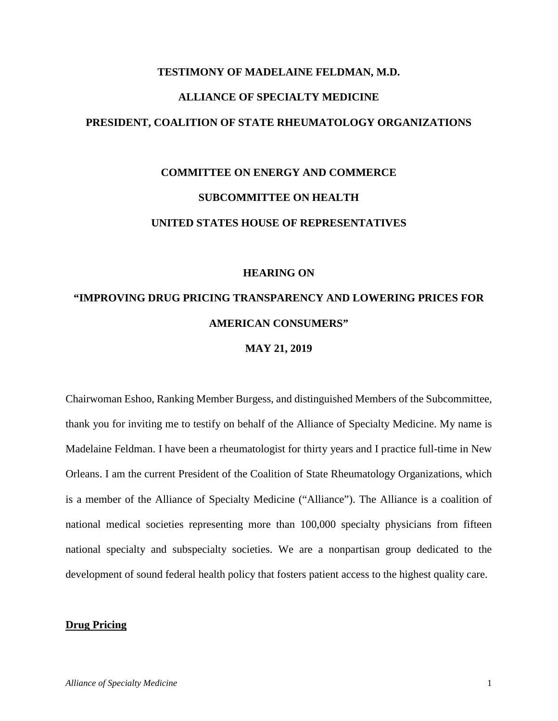# **TESTIMONY OF MADELAINE FELDMAN, M.D. ALLIANCE OF SPECIALTY MEDICINE PRESIDENT, COALITION OF STATE RHEUMATOLOGY ORGANIZATIONS**

# **COMMITTEE ON ENERGY AND COMMERCE SUBCOMMITTEE ON HEALTH UNITED STATES HOUSE OF REPRESENTATIVES**

# **HEARING ON**

# **"IMPROVING DRUG PRICING TRANSPARENCY AND LOWERING PRICES FOR AMERICAN CONSUMERS"**

#### **MAY 21, 2019**

Chairwoman Eshoo, Ranking Member Burgess, and distinguished Members of the Subcommittee, thank you for inviting me to testify on behalf of the Alliance of Specialty Medicine. My name is Madelaine Feldman. I have been a rheumatologist for thirty years and I practice full-time in New Orleans. I am the current President of the Coalition of State Rheumatology Organizations, which is a member of the Alliance of Specialty Medicine ("Alliance"). The Alliance is a coalition of national medical societies representing more than 100,000 specialty physicians from fifteen national specialty and subspecialty societies. We are a nonpartisan group dedicated to the development of sound federal health policy that fosters patient access to the highest quality care.

#### **Drug Pricing**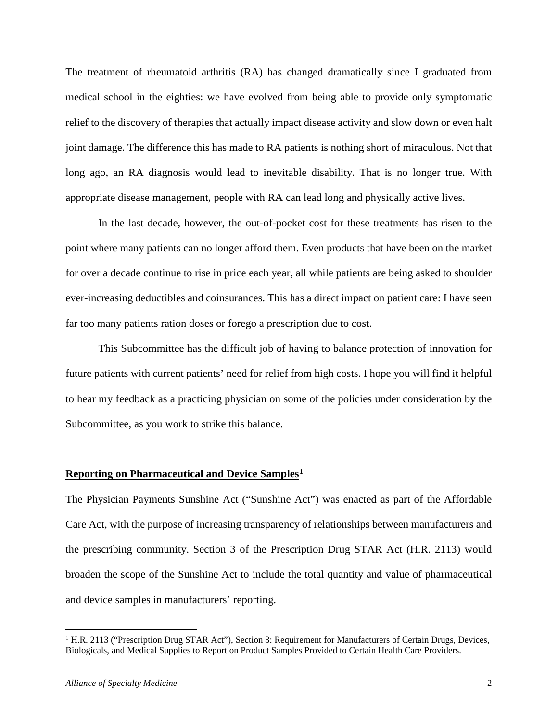The treatment of rheumatoid arthritis (RA) has changed dramatically since I graduated from medical school in the eighties: we have evolved from being able to provide only symptomatic relief to the discovery of therapies that actually impact disease activity and slow down or even halt joint damage. The difference this has made to RA patients is nothing short of miraculous. Not that long ago, an RA diagnosis would lead to inevitable disability. That is no longer true. With appropriate disease management, people with RA can lead long and physically active lives.

In the last decade, however, the out-of-pocket cost for these treatments has risen to the point where many patients can no longer afford them. Even products that have been on the market for over a decade continue to rise in price each year, all while patients are being asked to shoulder ever-increasing deductibles and coinsurances. This has a direct impact on patient care: I have seen far too many patients ration doses or forego a prescription due to cost.

This Subcommittee has the difficult job of having to balance protection of innovation for future patients with current patients' need for relief from high costs. I hope you will find it helpful to hear my feedback as a practicing physician on some of the policies under consideration by the Subcommittee, as you work to strike this balance.

#### **Reporting on Pharmaceutical and Device Samples[1](#page-1-0)**

The Physician Payments Sunshine Act ("Sunshine Act") was enacted as part of the Affordable Care Act, with the purpose of increasing transparency of relationships between manufacturers and the prescribing community. Section 3 of the Prescription Drug STAR Act (H.R. 2113) would broaden the scope of the Sunshine Act to include the total quantity and value of pharmaceutical and device samples in manufacturers' reporting.

<span id="page-1-0"></span><sup>&</sup>lt;sup>1</sup> H.R. 2113 ("Prescription Drug STAR Act"), Section 3: Requirement for Manufacturers of Certain Drugs, Devices, Biologicals, and Medical Supplies to Report on Product Samples Provided to Certain Health Care Providers.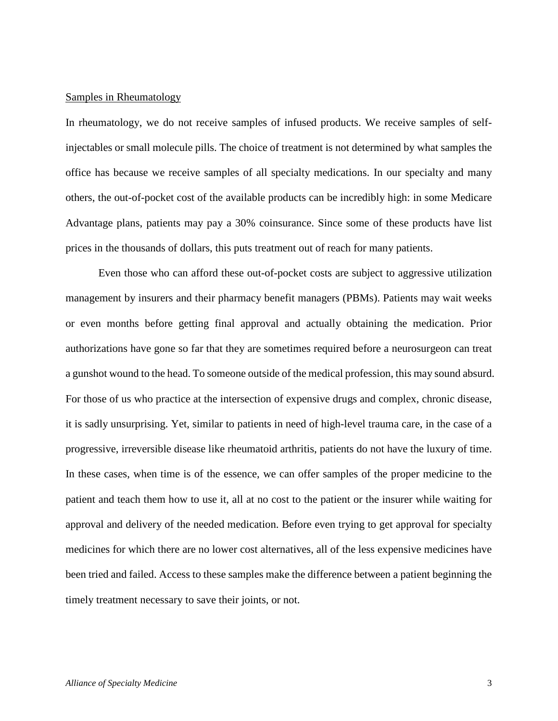### Samples in Rheumatology

In rheumatology, we do not receive samples of infused products. We receive samples of selfinjectables or small molecule pills. The choice of treatment is not determined by what samples the office has because we receive samples of all specialty medications. In our specialty and many others, the out-of-pocket cost of the available products can be incredibly high: in some Medicare Advantage plans, patients may pay a 30% coinsurance. Since some of these products have list prices in the thousands of dollars, this puts treatment out of reach for many patients.

Even those who can afford these out-of-pocket costs are subject to aggressive utilization management by insurers and their pharmacy benefit managers (PBMs). Patients may wait weeks or even months before getting final approval and actually obtaining the medication. Prior authorizations have gone so far that they are sometimes required before a neurosurgeon can treat a gunshot wound to the head. To someone outside of the medical profession, this may sound absurd. For those of us who practice at the intersection of expensive drugs and complex, chronic disease, it is sadly unsurprising. Yet, similar to patients in need of high-level trauma care, in the case of a progressive, irreversible disease like rheumatoid arthritis, patients do not have the luxury of time. In these cases, when time is of the essence, we can offer samples of the proper medicine to the patient and teach them how to use it, all at no cost to the patient or the insurer while waiting for approval and delivery of the needed medication. Before even trying to get approval for specialty medicines for which there are no lower cost alternatives, all of the less expensive medicines have been tried and failed. Access to these samples make the difference between a patient beginning the timely treatment necessary to save their joints, or not.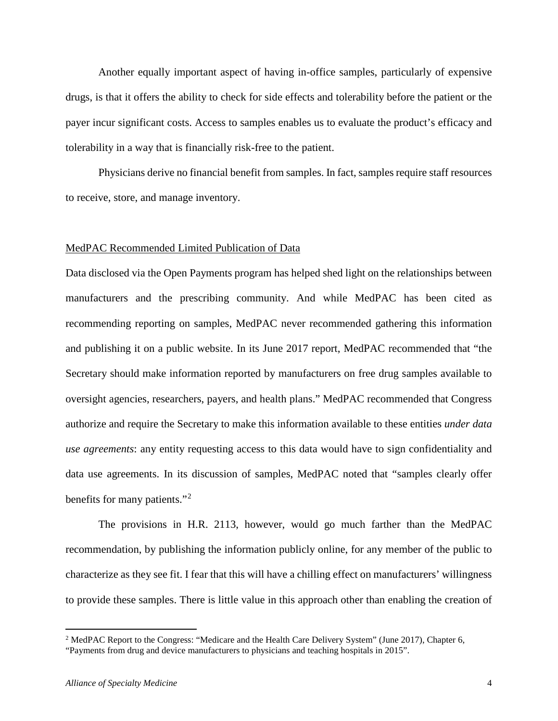Another equally important aspect of having in-office samples, particularly of expensive drugs, is that it offers the ability to check for side effects and tolerability before the patient or the payer incur significant costs. Access to samples enables us to evaluate the product's efficacy and tolerability in a way that is financially risk-free to the patient.

Physicians derive no financial benefit from samples. In fact, samples require staff resources to receive, store, and manage inventory.

### MedPAC Recommended Limited Publication of Data

Data disclosed via the Open Payments program has helped shed light on the relationships between manufacturers and the prescribing community. And while MedPAC has been cited as recommending reporting on samples, MedPAC never recommended gathering this information and publishing it on a public website. In its June 2017 report, MedPAC recommended that "the Secretary should make information reported by manufacturers on free drug samples available to oversight agencies, researchers, payers, and health plans." MedPAC recommended that Congress authorize and require the Secretary to make this information available to these entities *under data use agreements*: any entity requesting access to this data would have to sign confidentiality and data use agreements. In its discussion of samples, MedPAC noted that "samples clearly offer benefits for many patients."<sup>[2](#page-3-0)</sup>

The provisions in H.R. 2113, however, would go much farther than the MedPAC recommendation, by publishing the information publicly online, for any member of the public to characterize as they see fit. I fear that this will have a chilling effect on manufacturers' willingness to provide these samples. There is little value in this approach other than enabling the creation of

<span id="page-3-0"></span><sup>&</sup>lt;sup>2</sup> MedPAC Report to the Congress: "Medicare and the Health Care Delivery System" (June 2017), Chapter 6, "Payments from drug and device manufacturers to physicians and teaching hospitals in 2015".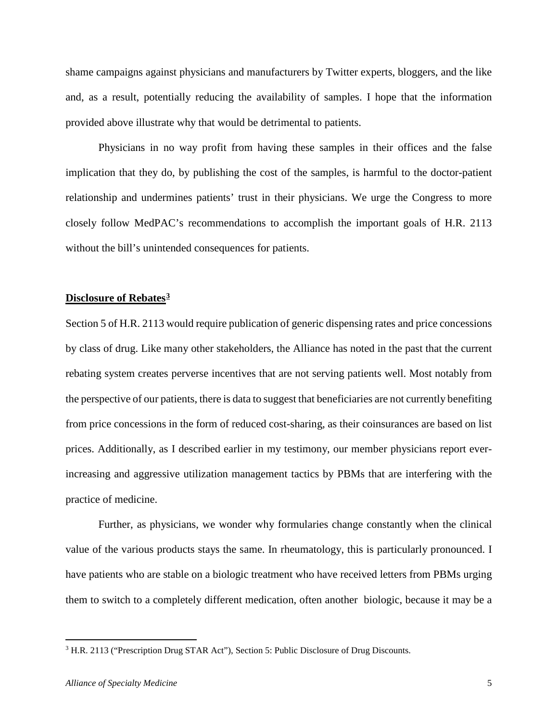shame campaigns against physicians and manufacturers by Twitter experts, bloggers, and the like and, as a result, potentially reducing the availability of samples. I hope that the information provided above illustrate why that would be detrimental to patients.

Physicians in no way profit from having these samples in their offices and the false implication that they do, by publishing the cost of the samples, is harmful to the doctor-patient relationship and undermines patients' trust in their physicians. We urge the Congress to more closely follow MedPAC's recommendations to accomplish the important goals of H.R. 2113 without the bill's unintended consequences for patients.

### **Disclosure of Rebates[3](#page-4-0)**

Section 5 of H.R. 2113 would require publication of generic dispensing rates and price concessions by class of drug. Like many other stakeholders, the Alliance has noted in the past that the current rebating system creates perverse incentives that are not serving patients well. Most notably from the perspective of our patients, there is data to suggest that beneficiaries are not currently benefiting from price concessions in the form of reduced cost-sharing, as their coinsurances are based on list prices. Additionally, as I described earlier in my testimony, our member physicians report everincreasing and aggressive utilization management tactics by PBMs that are interfering with the practice of medicine.

Further, as physicians, we wonder why formularies change constantly when the clinical value of the various products stays the same. In rheumatology, this is particularly pronounced. I have patients who are stable on a biologic treatment who have received letters from PBMs urging them to switch to a completely different medication, often another biologic, because it may be a

<span id="page-4-0"></span><sup>3</sup> H.R. 2113 ("Prescription Drug STAR Act"), Section 5: Public Disclosure of Drug Discounts.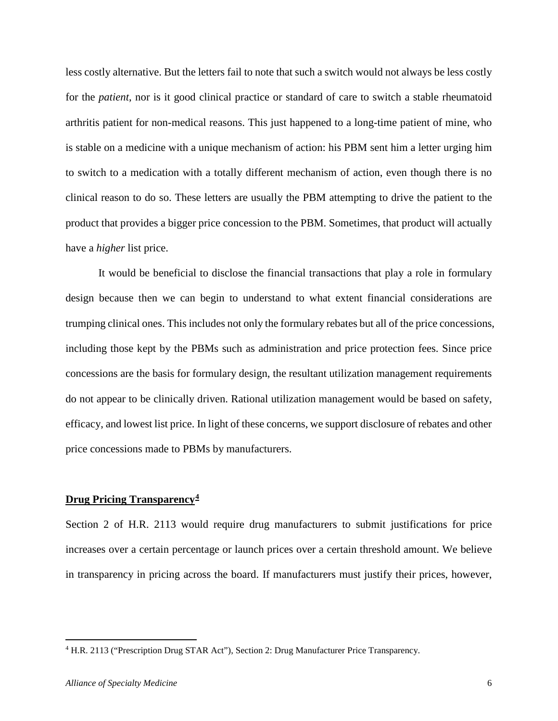less costly alternative. But the letters fail to note that such a switch would not always be less costly for the *patient*, nor is it good clinical practice or standard of care to switch a stable rheumatoid arthritis patient for non-medical reasons. This just happened to a long-time patient of mine, who is stable on a medicine with a unique mechanism of action: his PBM sent him a letter urging him to switch to a medication with a totally different mechanism of action, even though there is no clinical reason to do so. These letters are usually the PBM attempting to drive the patient to the product that provides a bigger price concession to the PBM. Sometimes, that product will actually have a *higher* list price.

It would be beneficial to disclose the financial transactions that play a role in formulary design because then we can begin to understand to what extent financial considerations are trumping clinical ones. This includes not only the formulary rebates but all of the price concessions, including those kept by the PBMs such as administration and price protection fees. Since price concessions are the basis for formulary design, the resultant utilization management requirements do not appear to be clinically driven. Rational utilization management would be based on safety, efficacy, and lowest list price. In light of these concerns, we support disclosure of rebates and other price concessions made to PBMs by manufacturers.

### **Drug Pricing Transparency[4](#page-5-0)**

Section 2 of H.R. 2113 would require drug manufacturers to submit justifications for price increases over a certain percentage or launch prices over a certain threshold amount. We believe in transparency in pricing across the board. If manufacturers must justify their prices, however,

<span id="page-5-0"></span><sup>4</sup> H.R. 2113 ("Prescription Drug STAR Act"), Section 2: Drug Manufacturer Price Transparency.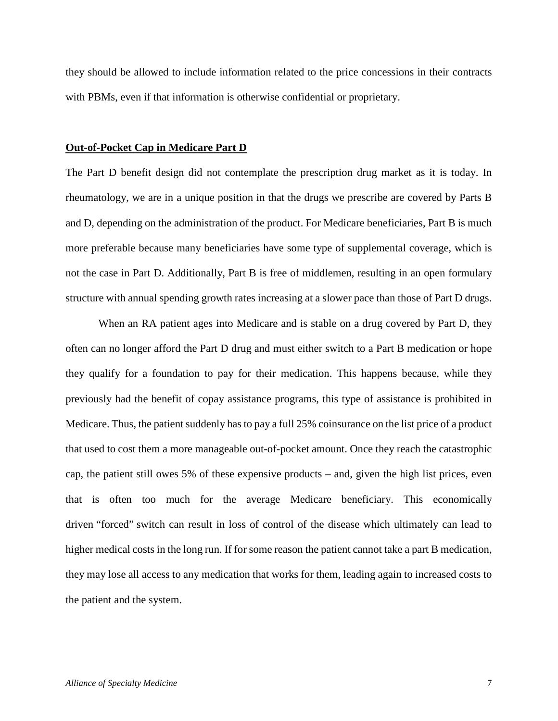they should be allowed to include information related to the price concessions in their contracts with PBMs, even if that information is otherwise confidential or proprietary.

#### **Out-of-Pocket Cap in Medicare Part D**

The Part D benefit design did not contemplate the prescription drug market as it is today. In rheumatology, we are in a unique position in that the drugs we prescribe are covered by Parts B and D, depending on the administration of the product. For Medicare beneficiaries, Part B is much more preferable because many beneficiaries have some type of supplemental coverage, which is not the case in Part D. Additionally, Part B is free of middlemen, resulting in an open formulary structure with annual spending growth rates increasing at a slower pace than those of Part D drugs.

When an RA patient ages into Medicare and is stable on a drug covered by Part D, they often can no longer afford the Part D drug and must either switch to a Part B medication or hope they qualify for a foundation to pay for their medication. This happens because, while they previously had the benefit of copay assistance programs, this type of assistance is prohibited in Medicare. Thus, the patient suddenly has to pay a full 25% coinsurance on the list price of a product that used to cost them a more manageable out-of-pocket amount. Once they reach the catastrophic cap, the patient still owes 5% of these expensive products – and, given the high list prices, even that is often too much for the average Medicare beneficiary. This economically driven "forced" switch can result in loss of control of the disease which ultimately can lead to higher medical costs in the long run. If for some reason the patient cannot take a part B medication, they may lose all access to any medication that works for them, leading again to increased costs to the patient and the system.